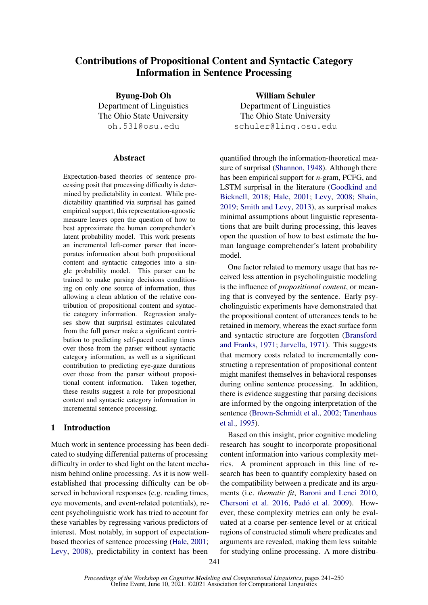# Contributions of Propositional Content and Syntactic Category Information in Sentence Processing

Byung-Doh Oh Department of Linguistics The Ohio State University oh.531@osu.edu

#### Abstract

Expectation-based theories of sentence processing posit that processing difficulty is determined by predictability in context. While predictability quantified via surprisal has gained empirical support, this representation-agnostic measure leaves open the question of how to best approximate the human comprehender's latent probability model. This work presents an incremental left-corner parser that incorporates information about both propositional content and syntactic categories into a single probability model. This parser can be trained to make parsing decisions conditioning on only one source of information, thus allowing a clean ablation of the relative contribution of propositional content and syntactic category information. Regression analyses show that surprisal estimates calculated from the full parser make a significant contribution to predicting self-paced reading times over those from the parser without syntactic category information, as well as a significant contribution to predicting eye-gaze durations over those from the parser without propositional content information. Taken together, these results suggest a role for propositional content and syntactic category information in incremental sentence processing.

### 1 Introduction

Much work in sentence processing has been dedicated to studying differential patterns of processing difficulty in order to shed light on the latent mechanism behind online processing. As it is now wellestablished that processing difficulty can be observed in behavioral responses (e.g. reading times, eye movements, and event-related potentials), recent psycholinguistic work has tried to account for these variables by regressing various predictors of interest. Most notably, in support of expectationbased theories of sentence processing [\(Hale,](#page-8-0) [2001;](#page-8-0) [Levy,](#page-8-1) [2008\)](#page-8-1), predictability in context has been

William Schuler Department of Linguistics The Ohio State University schuler@ling.osu.edu

quantified through the information-theoretical measure of surprisal [\(Shannon,](#page-9-0) [1948\)](#page-9-0). Although there has been empirical support for *n*-gram, PCFG, and LSTM surprisal in the literature [\(Goodkind and](#page-8-2) [Bicknell,](#page-8-2) [2018;](#page-8-2) [Hale,](#page-8-0) [2001;](#page-8-0) [Levy,](#page-8-1) [2008;](#page-8-1) [Shain,](#page-8-3) [2019;](#page-8-3) [Smith and Levy,](#page-9-1) [2013\)](#page-9-1), as surprisal makes minimal assumptions about linguistic representations that are built during processing, this leaves open the question of how to best estimate the human language comprehender's latent probability model.

One factor related to memory usage that has received less attention in psycholinguistic modeling is the influence of *propositional content*, or meaning that is conveyed by the sentence. Early psycholinguistic experiments have demonstrated that the propositional content of utterances tends to be retained in memory, whereas the exact surface form and syntactic structure are forgotten [\(Bransford](#page-8-4) [and Franks,](#page-8-4) [1971;](#page-8-4) [Jarvella,](#page-8-5) [1971\)](#page-8-5). This suggests that memory costs related to incrementally constructing a representation of propositional content might manifest themselves in behavioral responses during online sentence processing. In addition, there is evidence suggesting that parsing decisions are informed by the ongoing interpretation of the sentence [\(Brown-Schmidt et al.,](#page-8-6) [2002;](#page-8-6) [Tanenhaus](#page-9-2) [et al.,](#page-9-2) [1995\)](#page-9-2).

Based on this insight, prior cognitive modeling research has sought to incorporate propositional content information into various complexity metrics. A prominent approach in this line of research has been to quantify complexity based on the compatibility between a predicate and its arguments (i.e. *thematic fit*, [Baroni and Lenci](#page-8-7) [2010,](#page-8-7) [Chersoni et al.](#page-8-8) [2016,](#page-8-8) [Padó et al.](#page-8-9) [2009\)](#page-8-9). However, these complexity metrics can only be evaluated at a coarse per-sentence level or at critical regions of constructed stimuli where predicates and arguments are revealed, making them less suitable for studying online processing. A more distribu-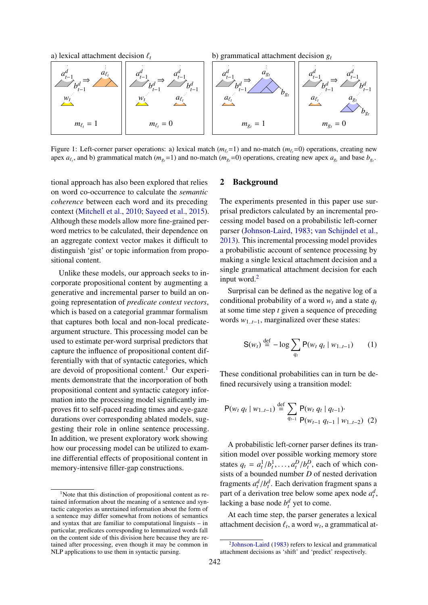<span id="page-1-2"></span>

Figure 1: Left-corner parser operations: a) lexical match ( $m_\ell$ =1) and no-match ( $m_\ell$ =0) operations, creating new apex  $a_{\ell_t}$ , and b) grammatical match ( $m_{g_t}$ =1) and no-match ( $m_{g_t}$ =0) operations, creating new apex  $a_{g_t}$  and base  $b_{g_t}$ .

tional approach has also been explored that relies on word co-occurrence to calculate the *semantic coherence* between each word and its preceding context [\(Mitchell et al.,](#page-8-10) [2010;](#page-8-10) [Sayeed et al.,](#page-8-11) [2015\)](#page-8-11). Although these models allow more fine-grained perword metrics to be calculated, their dependence on an aggregate context vector makes it difficult to distinguish 'gist' or topic information from propositional content.

Unlike these models, our approach seeks to incorporate propositional content by augmenting a generative and incremental parser to build an ongoing representation of *predicate context vectors*, which is based on a categorial grammar formalism that captures both local and non-local predicateargument structure. This processing model can be used to estimate per-word surprisal predictors that capture the influence of propositional content differentially with that of syntactic categories, which are devoid of propositional content.<sup>[1](#page-1-0)</sup> Our experiments demonstrate that the incorporation of both propositional content and syntactic category information into the processing model significantly improves fit to self-paced reading times and eye-gaze durations over corresponding ablated models, suggesting their role in online sentence processing. In addition, we present exploratory work showing how our processing model can be utilized to examine differential effects of propositional content in memory-intensive filler-gap constructions.

### <span id="page-1-3"></span>2 Background

The experiments presented in this paper use surprisal predictors calculated by an incremental processing model based on a probabilistic left-corner parser [\(Johnson-Laird,](#page-8-12) [1983;](#page-8-12) [van Schijndel et al.,](#page-8-13) [2013\)](#page-8-13). This incremental processing model provides a probabilistic account of sentence processing by making a single lexical attachment decision and a single grammatical attachment decision for each input word.<sup>[2](#page-1-1)</sup>

Surprisal can be defined as the negative log of a conditional probability of a word  $w_t$  and a state  $q_t$ at some time step *t* given a sequence of preceding words *<sup>w</sup>*1..*t*−1, marginalized over these states:

$$
S(w_t) \stackrel{\text{def}}{=} -\log \sum_{q_t} P(w_t \, q_t \mid w_{1..t-1}) \qquad (1)
$$

These conditional probabilities can in turn be defined recursively using a transition model:

$$
P(w_t q_t | w_{1..t-1}) \stackrel{\text{def}}{=} \sum_{q_{t-1}} P(w_t q_t | q_{t-1}) \cdot P(w_{t-1} q_{t-1} | w_{1..t-2}) \tag{2}
$$

A probabilistic left-corner parser defines its transition model over possible working memory store states  $q_t = a_t^1/b_t^1, \dots, a_t^D/b_t^D$ , each of which con-<br>sists of a bounded number D of nested derivation sists of a bounded number *D* of nested derivation fragments  $a_t^d/b_t^d$ . Each derivation fragment spans a<br>part of a derivation tree below some apex pode  $a^d$ part of a derivation tree below some apex node  $a_t^d$ , lacking a base node  $b_t^d$  yet to come.

At each time step, the parser generates a lexical attachment decision  $\ell_t$ , a word  $w_t$ , a grammatical at-

<span id="page-1-0"></span><sup>&</sup>lt;sup>1</sup>Note that this distinction of propositional content as retained information about the meaning of a sentence and syntactic categories as unretained information about the form of a sentence may differ somewhat from notions of semantics and syntax that are familiar to computational linguists – in particular, predicates corresponding to lemmatized words fall on the content side of this division here because they are retained after processing, even though it may be common in NLP applications to use them in syntactic parsing.

<span id="page-1-1"></span><sup>2</sup> [Johnson-Laird](#page-8-12) [\(1983\)](#page-8-12) refers to lexical and grammatical attachment decisions as 'shift' and 'predict' respectively.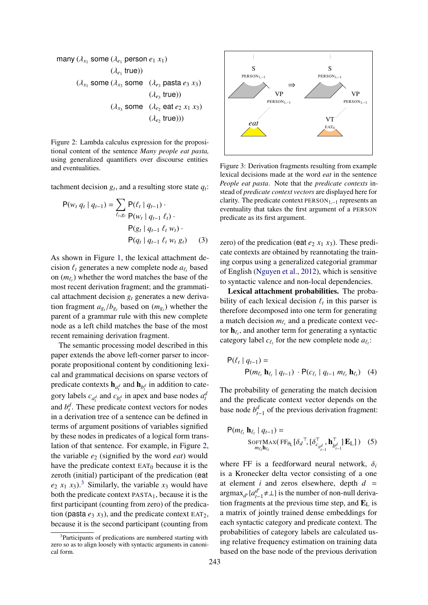<span id="page-2-0"></span>many (
$$
\lambda_{x_1}
$$
 some ( $\lambda_{e_1}$  person  $e_1 x_1$ )  
\n( $\lambda_{e_1}$  true))  
\n( $\lambda_{x_1}$  some ( $\lambda_{x_3}$  some ( $\lambda_{e_3}$  pasta  $e_3 x_3$ )  
\n( $\lambda_{e_3}$  true))  
\n( $\lambda_{x_3}$  some ( $\lambda_{e_2}$  eat  $e_2 x_1 x_3$ )  
\n( $\lambda_{e_2}$  true)))

Figure 2: Lambda calculus expression for the propositional content of the sentence *Many people eat pasta,* using generalized quantifiers over discourse entities and eventualities.

tachment decision  $g_t$ , and a resulting store state  $q_t$ :

$$
P(w_t q_t | q_{t-1}) = \sum_{\ell_t, g_t} P(\ell_t | q_{t-1}) \cdot P(w_t | q_{t-1} | \ell_t) \cdot P(q_t | q_{t-1} | \ell_t w_t) \cdot P(q_t | q_{t-1} | \ell_t w_t g_t) \qquad (3)
$$

As shown in Figure [1,](#page-1-2) the lexical attachment decision  $\ell_t$  generates a new complete node  $a_{\ell_t}$  based<br>on  $(m_t)$  whether the word matches the base of the on  $(m_{\ell_t})$  whether the word matches the base of the most recent degraded to geometric and the community most recent derivation fragment; and the grammatical attachment decision *g<sup>t</sup>* generates a new derivation fragment  $a_{g_t}/b_{g_t}$  based on  $(m_{g_t})$  whether the payr complete parent of a grammar rule with this new complete node as a left child matches the base of the most recent remaining derivation fragment.

The semantic processing model described in this paper extends the above left-corner parser to incorporate propositional content by conditioning lexical and grammatical decisions on sparse vectors of predicate contexts  $\mathbf{h}_{a_t^d}$  and  $\mathbf{h}_{b_t^d}$  in addition to category labels  $c_{a_t^d}$  and  $c_{b_t^d}$  in apex and base nodes  $a_t^d$ and  $b_t^d$ . These predicate context vectors for nodes in a derivation tree of a sentence can be defined in terms of argument positions of variables signified by these nodes in predicates of a logical form translation of that sentence. For example, in Figure [2,](#page-2-0) the variable *e*<sup>2</sup> (signified by the word *eat*) would have the predicate context  $EAT<sub>0</sub>$  because it is the zeroth (initial) participant of the predication (eat  $e_2$   $x_1$   $x_3$  $x_3$ ).<sup>3</sup> Similarly, the variable  $x_3$  would have both the predicate context PASTA1, because it is the first participant (counting from zero) of the predication (pasta  $e_3$   $x_3$ ), and the predicate context EAT<sub>2</sub>, because it is the second participant (counting from

<span id="page-2-2"></span>

Figure 3: Derivation fragments resulting from example lexical decisions made at the word *eat* in the sentence *People eat pasta*. Note that the *predicate contexts* instead of *predicate context vectors* are displayed here for clarity. The predicate context  $PERSON_{1,-1}$  represents an eventuality that takes the first argument of a PERSON predicate as its first argument.

zero) of the predication (eat  $e_2$   $x_1$   $x_3$ ). These predicate contexts are obtained by reannotating the training corpus using a generalized categorial grammar of English [\(Nguyen et al.,](#page-8-14) [2012\)](#page-8-14), which is sensitive to syntactic valence and non-local dependencies.

Lexical attachment probabilities. The probability of each lexical decision  $\ell_t$  in this parser is<br>therefore decomposed into one term for generating therefore decomposed into one term for generating a match decision  $m_{\ell_t}$  and a predicate context vec-<br>to be end another term for concreting a syntastic tor  $\mathbf{h}_{\ell_1}$ , and another term for generating a syntactic actor is the local state and a structure of  $\mathbf{h}_{\ell_1}$ . category label  $c_{\ell_t}$  for the new complete node  $a_{\ell_t}$ :

$$
P(\ell_t | q_{t-1}) =
$$
  
 
$$
P(m_{\ell_t} \mathbf{h}_{\ell_t} | q_{t-1}) \cdot P(c_{\ell_t} | q_{t-1} m_{\ell_t} \mathbf{h}_{\ell_t}) \quad (4)
$$

The probability of generating the match decision and the predicate context vector depends on the base node  $b_{t-1}^d$  of the previous derivation fragment:

$$
P(m_{\ell_t} \mathbf{h}_{\ell_t} | q_{t-1}) = \n\operatorname{SorrMax}(\operatorname{FF}_{\theta_L}[\delta_d^\top, [\delta_{c_{b_{t-1}^d}}^\top, \mathbf{h}_{b_{t-1}^d}^\top] \mathbf{E}_L]) \n\tag{5}
$$

where FF is a feedforward neural network, <sup>δ</sup>*<sup>i</sup>* is a Kronecker delta vector consisting of a one at element *i* and zeros elsewhere, depth  $d =$  $argmax_{d'} {a'_{t-1}}$  $t_{t-1}^{d'}$  ≠ ⊥ } is the number of non-null derivation fragments at the previous time step, and  $\mathbf{E}_{\text{L}}$  is a matrix of jointly trained dense embeddings for each syntactic category and predicate context. The probabilities of category labels are calculated using relative frequency estimation on training data based on the base node of the previous derivation

<span id="page-2-1"></span><sup>&</sup>lt;sup>3</sup>Participants of predications are numbered starting with zero so as to align loosely with syntactic arguments in canonical form.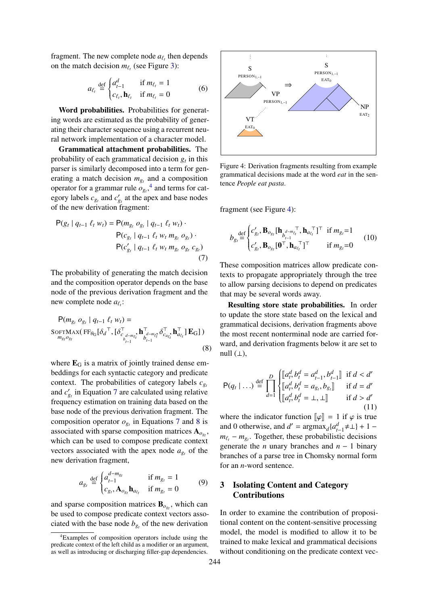fragment. The new complete node  $a_{\ell}$  then depends<br>on the match decision  $m_{\ell}$  (see Figure 3). on the match decision  $m_{\ell_t}$  (see Figure [3\)](#page-2-2):

$$
a_{\ell_t} \stackrel{\text{def}}{=} \begin{cases} a_{t-1}^d & \text{if } m_{\ell_t} = 1\\ c_{\ell_t}, \mathbf{h}_{\ell_t} & \text{if } m_{\ell_t} = 0 \end{cases} \tag{6}
$$

Word probabilities. Probabilities for generating words are estimated as the probability of generating their character sequence using a recurrent neural network implementation of a character model.

Grammatical attachment probabilities. The probability of each grammatical decision  $g_t$  in this parser is similarly decomposed into a term for generating a match decision  $m_{g_t}$  and a composition operator for a grammar rule  $o_{g_t}$ <sup>[4](#page-3-0)</sup>, and terms for category labels  $c_{g_t}$  and  $c'_{g_t}$  at the apex and base nodes of the new derivation fragment:

$$
P(g_t | q_{t-1} \ell_t w_t) = P(m_{g_t} o_{g_t} | q_{t-1} \ell_t w_t) \cdot P(c_{g_t} | q_{t-1} \ell_t w_t m_{g_t} o_{g_t}) \cdot P(c'_{g_t} | q_{t-1} \ell_t w_t m_{g_t} o_{g_t} c_{g_t})
$$
\n(7)

The probability of generating the match decision and the composition operator depends on the base node of the previous derivation fragment and the new complete node  $a_{\ell_i}$ :

$$
\mathsf{P}(m_{g_t} \ o_{g_t} \mid q_{t-1} \ \ell_t \ w_t) = \mathsf{S}\mathsf{OPTMAX}(\mathsf{FF}_{\theta_{\mathsf{G}}}[\delta_d^\top, [\delta_{c_{d-m_{\ell}}^+}^\top \mathbf{h}_{\delta_{t-1}^+}^\top \delta_{c_{a_{\ell}}^+}^\top \mathbf{h}_{a_{\ell_t}}^\top \mathbf{E}_{\mathsf{G}}])
$$
\n
$$
m_{g_t} o_{g_t} \tag{8}
$$

where  $\mathbf{E}_{\text{G}}$  is a matrix of jointly trained dense embeddings for each syntactic category and predicate context. The probabilities of category labels  $c_{g_t}$ and  $c'_{g_t}$  in Equation [7](#page-3-1) are calculated using relative frequency estimation on training data based on the base node of the previous derivation fragment. The composition operator  $o_{g_t}$  in Equations [7](#page-3-1) and [8](#page-3-2) is associated with sparse composition matrices  $A_{o_{gt}}$ , which can be used to compose predicate context vectors associated with the apex node  $a_{g_t}$  of the new derivation fragment,

$$
a_{g_t} \stackrel{\text{def}}{=} \begin{cases} a_{t-1}^{d-m_{g_t}} & \text{if } m_{g_t} = 1\\ c_{g_t}, \mathbf{A}_{o_{g_t}} \mathbf{h}_{a_{\ell_t}} & \text{if } m_{g_t} = 0 \end{cases} \tag{9}
$$

and sparse composition matrices  $\mathbf{B}_{o_{gt}}$ , which can be used to compose predicate context vectors associated with the base node  $b_{g_t}$  of the new derivation

<span id="page-3-3"></span>

Figure 4: Derivation fragments resulting from example grammatical decisions made at the word *eat* in the sentence *People eat pasta*.

fragment (see Figure [4\)](#page-3-3):

$$
b_{g_t} \stackrel{\text{def}}{=} \begin{cases} c'_{g_t}, \mathbf{B}_{o_{g_t}} [\mathbf{h}_{b_{t-1}}^{d - m_{\ell_t}}, \mathbf{h}_{a_{\ell_t}}^{\top}]^{\top} & \text{if } m_{g_t} = 1 \\ c'_{g_t}, \mathbf{B}_{o_{g_t}} [\mathbf{0}^{\top}, \mathbf{h}_{a_{\ell_t}}^{\top}]^{\top} & \text{if } m_{g_t} = 0 \end{cases} \tag{10}
$$

<span id="page-3-1"></span>These composition matrices allow predicate contexts to propagate appropriately through the tree to allow parsing decisions to depend on predicates that may be several words away.

Resulting store state probabilities. In order to update the store state based on the lexical and grammatical decisions, derivation fragments above the most recent nonterminal node are carried forward, and derivation fragments below it are set to null  $(\perp)$ ,

<span id="page-3-2"></span>
$$
\mathsf{P}(q_t | \ldots) \stackrel{\text{def}}{=} \prod_{d=1}^{D} \begin{cases} \left[ a_t^d, b_t^d = a_{t-1}^d, b_{t-1}^d \right] & \text{if } d < d' \\ \left[ a_t^d, b_t^d = a_g, b_{g_t} \right] & \text{if } d = d' \\ \left[ a_t^d, b_t^d = \bot, \bot \right] & \text{if } d > d' \end{cases} \tag{11}
$$

where the indicator function  $\|\varphi\| = 1$  if  $\varphi$  is true and 0 otherwise, and  $d' = \text{argmax}_d \{a_{t-1}^d \neq \bot\} + 1$  $m_{\ell_t}$  −  $m_{g_t}$ . Together, these probabilistic decisions generate the *n* unary branches and *n* − 1 binary branches of a parse tree in Chomsky normal form for an *n*-word sentence.

# <span id="page-3-4"></span>3 Isolating Content and Category **Contributions**

In order to examine the contribution of propositional content on the content-sensitive processing model, the model is modified to allow it to be trained to make lexical and grammatical decisions without conditioning on the predicate context vec-

<span id="page-3-0"></span><sup>4</sup>Examples of composition operators include using the predicate context of the left child as a modifier or an argument, as well as introducing or discharging filler-gap dependencies.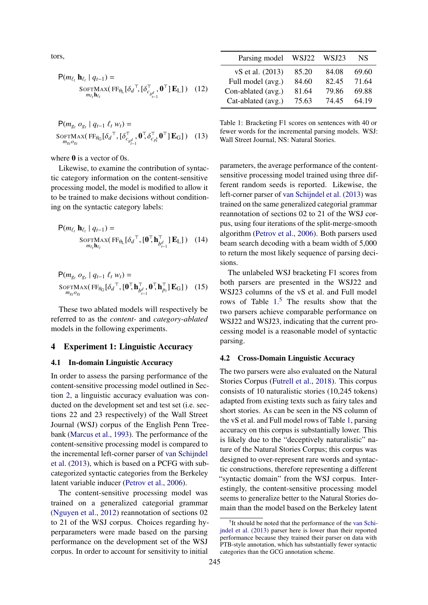tors,

$$
P(m_{\ell_t} \mathbf{h}_{\ell_t} | q_{t-1}) = \text{SOFIMAX}(\text{FF}_{\theta_L}[\delta_d^\top, [\delta_{c_{b_{t-1}^d}}^\top, \mathbf{0}^\top] \mathbf{E}_L]) \quad (12)
$$

$$
\mathsf{P}(m_{g_t} \ o_{g_t} \mid q_{t-1} \ \ell_t \ w_t) =
$$
  
SOFTMAX $(\text{FF}_{\theta_G}[\delta_d^\top, [\delta_{c_{b_{t-1}}^d}^\top, \mathbf{0}^\top, \delta_{c_{p_t}^T}^\top, \mathbf{0}^\top] \mathbf{E}_G])$  (13)

where 0 is a vector of 0s.

Likewise, to examine the contribution of syntactic category information on the content-sensitive processing model, the model is modified to allow it to be trained to make decisions without conditioning on the syntactic category labels:

$$
P(m_{\ell_t} \mathbf{h}_{\ell_t} | q_{t-1}) = \n\begin{cases}\n\text{SOFIMAX}(\text{FF}_{\theta_L}[\delta_d^\top, [\mathbf{0}^\top, \mathbf{h}_{b_{t-1}^d}^\top] \mathbf{E}_L]) & (14) \\
m_{\ell_t} \mathbf{h}_{\ell_t}\n\end{cases}
$$

$$
P(m_{g_t} o_{g_t} | q_{t-1} \ell_t w_t) =
$$
  
SOFTMAX $(FF_{\theta_G}[\delta_d^\top, [\mathbf{0}^\top, \mathbf{h}_{b_{t-1}^d}^\top, \mathbf{0}^\top, \mathbf{h}_{p_t}^\top] \mathbf{E}_G])$  (15)

These two ablated models will respectively be referred to as the *content-* and *category-ablated* models in the following experiments.

### 4 Experiment 1: Linguistic Accuracy

#### 4.1 In-domain Linguistic Accuracy

In order to assess the parsing performance of the content-sensitive processing model outlined in Section [2,](#page-1-3) a linguistic accuracy evaluation was conducted on the development set and test set (i.e. sections 22 and 23 respectively) of the Wall Street Journal (WSJ) corpus of the English Penn Treebank [\(Marcus et al.,](#page-8-15) [1993\)](#page-8-15). The performance of the content-sensitive processing model is compared to the incremental left-corner parser of [van Schijndel](#page-8-13) [et al.](#page-8-13) [\(2013\)](#page-8-13), which is based on a PCFG with subcategorized syntactic categories from the Berkeley latent variable inducer [\(Petrov et al.,](#page-8-16) [2006\)](#page-8-16).

The content-sensitive processing model was trained on a generalized categorial grammar [\(Nguyen et al.,](#page-8-14) [2012\)](#page-8-14) reannotation of sections 02 to 21 of the WSJ corpus. Choices regarding hyperparameters were made based on the parsing performance on the development set of the WSJ corpus. In order to account for sensitivity to initial

<span id="page-4-0"></span>

| Parsing model      | WSJ22 | WSJ23 | NS    |
|--------------------|-------|-------|-------|
| vS et al. (2013)   | 85.20 | 84.08 | 69.60 |
| Full model (avg.)  | 84.60 | 82.45 | 71.64 |
| Con-ablated (avg.) | 81.64 | 79.86 | 69.88 |
| Cat-ablated (avg.) | 75.63 | 74.45 | 64.19 |

Table 1: Bracketing F1 scores on sentences with 40 or fewer words for the incremental parsing models. WSJ: Wall Street Journal, NS: Natural Stories.

parameters, the average performance of the contentsensitive processing model trained using three different random seeds is reported. Likewise, the left-corner parser of [van Schijndel et al.](#page-8-13) [\(2013\)](#page-8-13) was trained on the same generalized categorial grammar reannotation of sections 02 to 21 of the WSJ corpus, using four iterations of the split-merge-smooth algorithm [\(Petrov et al.,](#page-8-16) [2006\)](#page-8-16). Both parsers used beam search decoding with a beam width of 5,000 to return the most likely sequence of parsing decisions.

The unlabeled WSJ bracketing F1 scores from both parsers are presented in the WSJ22 and WSJ23 columns of the vS et al. and Full model rows of Table  $1<sup>5</sup>$  $1<sup>5</sup>$  $1<sup>5</sup>$ . The results show that the two parsers achieve comparable performance on WSJ22 and WSJ23, indicating that the current processing model is a reasonable model of syntactic parsing.

#### 4.2 Cross-Domain Linguistic Accuracy

The two parsers were also evaluated on the Natural Stories Corpus [\(Futrell et al.,](#page-8-17) [2018\)](#page-8-17). This corpus consists of 10 naturalistic stories (10,245 tokens) adapted from existing texts such as fairy tales and short stories. As can be seen in the NS column of the vS et al. and Full model rows of Table [1,](#page-4-0) parsing accuracy on this corpus is substantially lower. This is likely due to the "deceptively naturalistic" nature of the Natural Stories Corpus; this corpus was designed to over-represent rare words and syntactic constructions, therefore representing a different "syntactic domain" from the WSJ corpus. Interestingly, the content-sensitive processing model seems to generalize better to the Natural Stories domain than the model based on the Berkeley latent

<span id="page-4-1"></span><sup>5</sup> It should be noted that the performance of the [van Schi](#page-8-13)[jndel et al.](#page-8-13) [\(2013\)](#page-8-13) parser here is lower than their reported performance because they trained their parser on data with PTB-style annotation, which has substantially fewer syntactic categories than the GCG annotation scheme.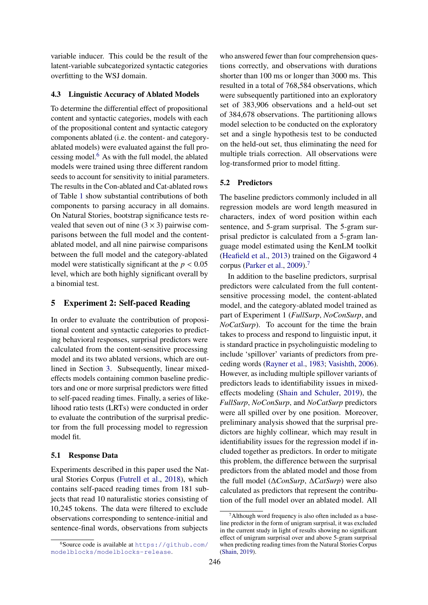variable inducer. This could be the result of the latent-variable subcategorized syntactic categories overfitting to the WSJ domain.

### 4.3 Linguistic Accuracy of Ablated Models

To determine the differential effect of propositional content and syntactic categories, models with each of the propositional content and syntactic category components ablated (i.e. the content- and categoryablated models) were evaluated against the full processing model. $6$  As with the full model, the ablated models were trained using three different random seeds to account for sensitivity to initial parameters. The results in the Con-ablated and Cat-ablated rows of Table [1](#page-4-0) show substantial contributions of both components to parsing accuracy in all domains. On Natural Stories, bootstrap significance tests revealed that seven out of nine  $(3 \times 3)$  pairwise comparisons between the full model and the contentablated model, and all nine pairwise comparisons between the full model and the category-ablated model were statistically significant at the  $p < 0.05$ level, which are both highly significant overall by a binomial test.

# 5 Experiment 2: Self-paced Reading

In order to evaluate the contribution of propositional content and syntactic categories to predicting behavioral responses, surprisal predictors were calculated from the content-sensitive processing model and its two ablated versions, which are outlined in Section [3.](#page-3-4) Subsequently, linear mixedeffects models containing common baseline predictors and one or more surprisal predictors were fitted to self-paced reading times. Finally, a series of likelihood ratio tests (LRTs) were conducted in order to evaluate the contribution of the surprisal predictor from the full processing model to regression model fit.

#### 5.1 Response Data

Experiments described in this paper used the Natural Stories Corpus [\(Futrell et al.,](#page-8-17) [2018\)](#page-8-17), which contains self-paced reading times from 181 subjects that read 10 naturalistic stories consisting of 10,245 tokens. The data were filtered to exclude observations corresponding to sentence-initial and sentence-final words, observations from subjects

who answered fewer than four comprehension questions correctly, and observations with durations shorter than 100 ms or longer than 3000 ms. This resulted in a total of 768,584 observations, which were subsequently partitioned into an exploratory set of 383,906 observations and a held-out set of 384,678 observations. The partitioning allows model selection to be conducted on the exploratory set and a single hypothesis test to be conducted on the held-out set, thus eliminating the need for multiple trials correction. All observations were log-transformed prior to model fitting.

#### 5.2 Predictors

The baseline predictors commonly included in all regression models are word length measured in characters, index of word position within each sentence, and 5-gram surprisal. The 5-gram surprisal predictor is calculated from a 5-gram language model estimated using the KenLM toolkit [\(Heafield et al.,](#page-8-18) [2013\)](#page-8-18) trained on the Gigaword 4 corpus [\(Parker et al.,](#page-8-19) [2009\)](#page-8-19).[7](#page-5-1)

In addition to the baseline predictors, surprisal predictors were calculated from the full contentsensitive processing model, the content-ablated model, and the category-ablated model trained as part of Experiment 1 (*FullSurp*, *NoConSurp*, and *NoCatSurp*). To account for the time the brain takes to process and respond to linguistic input, it is standard practice in psycholinguistic modeling to include 'spillover' variants of predictors from preceding words [\(Rayner et al.,](#page-8-20) [1983;](#page-8-20) [Vasishth,](#page-9-3) [2006\)](#page-9-3). However, as including multiple spillover variants of predictors leads to identifiability issues in mixedeffects modeling [\(Shain and Schuler,](#page-9-4) [2019\)](#page-9-4), the *FullSurp*, *NoConSurp*, and *NoCatSurp* predictors were all spilled over by one position. Moreover, preliminary analysis showed that the surprisal predictors are highly collinear, which may result in identifiability issues for the regression model if included together as predictors. In order to mitigate this problem, the difference between the surprisal predictors from the ablated model and those from the full model (∆*ConSurp*, ∆*CatSurp*) were also calculated as predictors that represent the contribution of the full model over an ablated model. All

<span id="page-5-0"></span> $6$ Source code is available at [https://github.com/](https://github.com/modelblocks/modelblocks-release) [modelblocks/modelblocks-release](https://github.com/modelblocks/modelblocks-release).

<span id="page-5-1"></span> $7$ Although word frequency is also often included as a baseline predictor in the form of unigram surprisal, it was excluded in the current study in light of results showing no significant effect of unigram surprisal over and above 5-gram surprisal when predicting reading times from the Natural Stories Corpus [\(Shain,](#page-8-3) [2019\)](#page-8-3).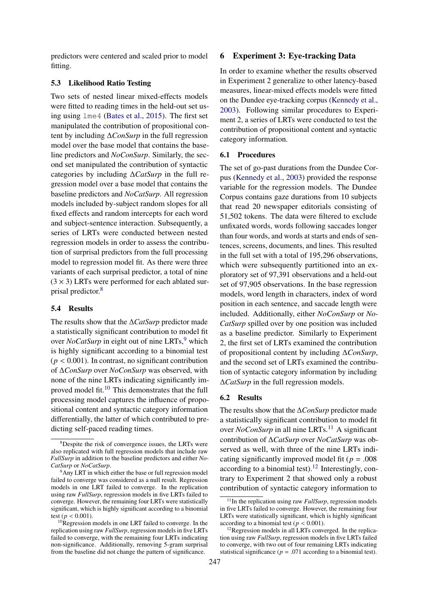predictors were centered and scaled prior to model fitting.

### 5.3 Likelihood Ratio Testing

Two sets of nested linear mixed-effects models were fitted to reading times in the held-out set using using lme4 [\(Bates et al.,](#page-8-21) [2015\)](#page-8-21). The first set manipulated the contribution of propositional content by including ∆*ConSurp* in the full regression model over the base model that contains the baseline predictors and *NoConSurp*. Similarly, the second set manipulated the contribution of syntactic categories by including ∆*CatSurp* in the full regression model over a base model that contains the baseline predictors and *NoCatSurp*. All regression models included by-subject random slopes for all fixed effects and random intercepts for each word and subject-sentence interaction. Subsequently, a series of LRTs were conducted between nested regression models in order to assess the contribution of surprisal predictors from the full processing model to regression model fit. As there were three variants of each surprisal predictor, a total of nine  $(3 \times 3)$  LRTs were performed for each ablated surprisal predictor.[8](#page-6-0)

### 5.4 Results

The results show that the ∆*CatSurp* predictor made a statistically significant contribution to model fit over *NoCatSurp* in eight out of nine LRTs,<sup>[9](#page-6-1)</sup> which is highly significant according to a binomial test  $(p < 0.001)$ . In contrast, no significant contribution of ∆*ConSurp* over *NoConSurp* was observed, with none of the nine LRTs indicating significantly im-proved model fit.<sup>[10](#page-6-2)</sup> This demonstrates that the full processing model captures the influence of propositional content and syntactic category information differentially, the latter of which contributed to predicting self-paced reading times.

### 6 Experiment 3: Eye-tracking Data

In order to examine whether the results observed in Experiment 2 generalize to other latency-based measures, linear-mixed effects models were fitted on the Dundee eye-tracking corpus [\(Kennedy et al.,](#page-8-22) [2003\)](#page-8-22). Following similar procedures to Experiment 2, a series of LRTs were conducted to test the contribution of propositional content and syntactic category information.

### 6.1 Procedures

The set of go-past durations from the Dundee Corpus [\(Kennedy et al.,](#page-8-22) [2003\)](#page-8-22) provided the response variable for the regression models. The Dundee Corpus contains gaze durations from 10 subjects that read 20 newspaper editorials consisting of 51,502 tokens. The data were filtered to exclude unfixated words, words following saccades longer than four words, and words at starts and ends of sentences, screens, documents, and lines. This resulted in the full set with a total of 195,296 observations, which were subsequently partitioned into an exploratory set of 97,391 observations and a held-out set of 97,905 observations. In the base regression models, word length in characters, index of word position in each sentence, and saccade length were included. Additionally, either *NoConSurp* or *No-CatSurp* spilled over by one position was included as a baseline predictor. Similarly to Experiment 2, the first set of LRTs examined the contribution of propositional content by including ∆*ConSurp*, and the second set of LRTs examined the contribution of syntactic category information by including ∆*CatSurp* in the full regression models.

#### 6.2 Results

The results show that the ∆*ConSurp* predictor made a statistically significant contribution to model fit over *NoConSurp* in all nine LRTs.<sup>[11](#page-6-3)</sup> A significant contribution of ∆*CatSurp* over *NoCatSurp* was observed as well, with three of the nine LRTs indicating significantly improved model fit ( $p = .008$ ) according to a binomial test).<sup>[12](#page-6-4)</sup> Interestingly, contrary to Experiment 2 that showed only a robust contribution of syntactic category information to

<span id="page-6-0"></span><sup>8</sup>Despite the risk of convergence issues, the LRTs were also replicated with full regression models that include raw *FullSurp* in addition to the baseline predictors and either *No-CatSurp* or *NoCatSurp*.

<span id="page-6-1"></span><sup>&</sup>lt;sup>9</sup>Any LRT in which either the base or full regression model failed to converge was considered as a null result. Regression models in one LRT failed to converge. In the replication using raw *FullSurp*, regression models in five LRTs failed to converge. However, the remaining four LRTs were statistically significant, which is highly significant according to a binomial test ( $p < 0.001$ ).

<span id="page-6-2"></span><sup>&</sup>lt;sup>10</sup>Regression models in one LRT failed to converge. In the replication using raw *FullSurp*, regression models in five LRTs failed to converge, with the remaining four LRTs indicating non-significance. Additionally, removing 5-gram surprisal from the baseline did not change the pattern of significance.

<span id="page-6-3"></span> $11$ In the replication using raw *FullSurp*, regression models in five LRTs failed to converge. However, the remaining four LRTs were statistically significant, which is highly significant according to a binomial test ( $p < 0.001$ ).

<span id="page-6-4"></span><sup>&</sup>lt;sup>12</sup>Regression models in all LRTs converged. In the replication using raw *FullSurp*, regression models in five LRTs failed to converge, with two out of four remaining LRTs indicating statistical significance ( $p = .071$  according to a binomial test).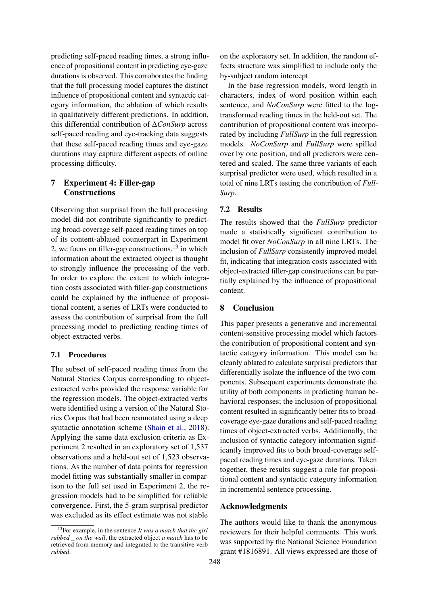predicting self-paced reading times, a strong influence of propositional content in predicting eye-gaze durations is observed. This corroborates the finding that the full processing model captures the distinct influence of propositional content and syntactic category information, the ablation of which results in qualitatively different predictions. In addition, this differential contribution of ∆*ConSurp* across self-paced reading and eye-tracking data suggests that these self-paced reading times and eye-gaze durations may capture different aspects of online processing difficulty.

# 7 Experiment 4: Filler-gap **Constructions**

Observing that surprisal from the full processing model did not contribute significantly to predicting broad-coverage self-paced reading times on top of its content-ablated counterpart in Experiment 2, we focus on filler-gap constructions,  $13$  in which information about the extracted object is thought to strongly influence the processing of the verb. In order to explore the extent to which integration costs associated with filler-gap constructions could be explained by the influence of propositional content, a series of LRTs were conducted to assess the contribution of surprisal from the full processing model to predicting reading times of object-extracted verbs.

### 7.1 Procedures

The subset of self-paced reading times from the Natural Stories Corpus corresponding to objectextracted verbs provided the response variable for the regression models. The object-extracted verbs were identified using a version of the Natural Stories Corpus that had been reannotated using a deep syntactic annotation scheme [\(Shain et al.,](#page-9-5) [2018\)](#page-9-5). Applying the same data exclusion criteria as Experiment 2 resulted in an exploratory set of 1,537 observations and a held-out set of 1,523 observations. As the number of data points for regression model fitting was substantially smaller in comparison to the full set used in Experiment 2, the regression models had to be simplified for reliable convergence. First, the 5-gram surprisal predictor was excluded as its effect estimate was not stable

on the exploratory set. In addition, the random effects structure was simplified to include only the by-subject random intercept.

In the base regression models, word length in characters, index of word position within each sentence, and *NoConSurp* were fitted to the logtransformed reading times in the held-out set. The contribution of propositional content was incorporated by including *FullSurp* in the full regression models. *NoConSurp* and *FullSurp* were spilled over by one position, and all predictors were centered and scaled. The same three variants of each surprisal predictor were used, which resulted in a total of nine LRTs testing the contribution of *Full-Surp*.

#### 7.2 Results

The results showed that the *FullSurp* predictor made a statistically significant contribution to model fit over *NoConSurp* in all nine LRTs. The inclusion of *FullSurp* consistently improved model fit, indicating that integration costs associated with object-extracted filler-gap constructions can be partially explained by the influence of propositional content.

### 8 Conclusion

This paper presents a generative and incremental content-sensitive processing model which factors the contribution of propositional content and syntactic category information. This model can be cleanly ablated to calculate surprisal predictors that differentially isolate the influence of the two components. Subsequent experiments demonstrate the utility of both components in predicting human behavioral responses; the inclusion of propositional content resulted in significantly better fits to broadcoverage eye-gaze durations and self-paced reading times of object-extracted verbs. Additionally, the inclusion of syntactic category information significantly improved fits to both broad-coverage selfpaced reading times and eye-gaze durations. Taken together, these results suggest a role for propositional content and syntactic category information in incremental sentence processing.

# Acknowledgments

The authors would like to thank the anonymous reviewers for their helpful comments. This work was supported by the National Science Foundation grant #1816891. All views expressed are those of

<span id="page-7-0"></span><sup>13</sup>For example, in the sentence *It was a match that the girl rubbed \_ on the wall*, the extracted object *a match* has to be retrieved from memory and integrated to the transitive verb *rubbed*.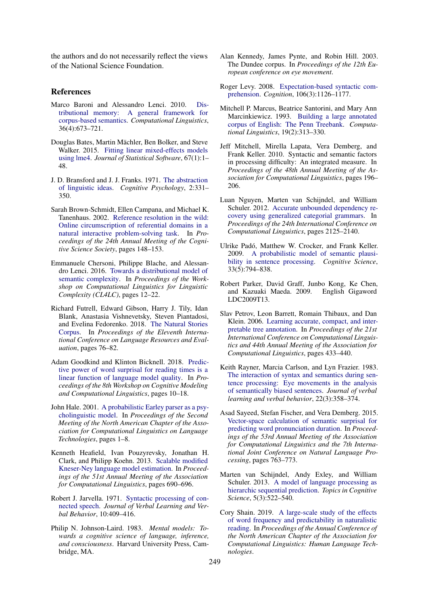the authors and do not necessarily reflect the views of the National Science Foundation.

### References

- <span id="page-8-7"></span>Marco Baroni and Alessandro Lenci. 2010. [Dis](https://www.aclweb.org/anthology/J10-4006/)[tributional memory: A general framework for](https://www.aclweb.org/anthology/J10-4006/) [corpus-based semantics.](https://www.aclweb.org/anthology/J10-4006/) *Computational Linguistics*, 36(4):673–721.
- <span id="page-8-21"></span>Douglas Bates, Martin Mächler, Ben Bolker, and Steve Walker. 2015. [Fitting linear mixed-effects models](https://doi.org/10.18637/jss.v067.i01) [using lme4.](https://doi.org/10.18637/jss.v067.i01) *Journal of Statistical Software*, 67(1):1– 48.
- <span id="page-8-4"></span>J. D. Bransford and J. J. Franks. 1971. [The abstraction](https://doi.org/10.1016/0010-0285(71)90019-3) [of linguistic ideas.](https://doi.org/10.1016/0010-0285(71)90019-3) *Cognitive Psychology*, 2:331– 350.
- <span id="page-8-6"></span>Sarah Brown-Schmidt, Ellen Campana, and Michael K. Tanenhaus. 2002. [Reference resolution in the wild:](https://escholarship.org/uc/item/9pb9m2zr) [Online circumscription of referential domains in a](https://escholarship.org/uc/item/9pb9m2zr) [natural interactive problem-solving task.](https://escholarship.org/uc/item/9pb9m2zr) In *Proceedings of the 24th Annual Meeting of the Cognitive Science Society*, pages 148–153.
- <span id="page-8-8"></span>Emmanuele Chersoni, Philippe Blache, and Alessandro Lenci. 2016. [Towards a distributional model of](https://www.aclweb.org/anthology/W16-4102/) [semantic complexity.](https://www.aclweb.org/anthology/W16-4102/) In *Proceedings of the Workshop on Computational Linguistics for Linguistic Complexity (CL4LC)*, pages 12–22.
- <span id="page-8-17"></span>Richard Futrell, Edward Gibson, Harry J. Tily, Idan Blank, Anastasia Vishnevetsky, Steven Piantadosi, and Evelina Fedorenko. 2018. [The Natural Stories](https://www.aclweb.org/anthology/L18-1012/) [Corpus.](https://www.aclweb.org/anthology/L18-1012/) In *Proceedings of the Eleventh International Conference on Language Resources and Evaluation*, pages 76–82.
- <span id="page-8-2"></span>Adam Goodkind and Klinton Bicknell. 2018. [Predic](https://www.aclweb.org/anthology/W18-0102/)[tive power of word surprisal for reading times is a](https://www.aclweb.org/anthology/W18-0102/) [linear function of language model quality.](https://www.aclweb.org/anthology/W18-0102/) In *Proceedings of the 8th Workshop on Cognitive Modeling and Computational Linguistics*, pages 10–18.
- <span id="page-8-0"></span>John Hale. 2001. [A probabilistic Earley parser as a psy](https://www.aclweb.org/anthology/N01-1021/)[cholinguistic model.](https://www.aclweb.org/anthology/N01-1021/) In *Proceedings of the Second Meeting of the North American Chapter of the Association for Computational Linguistics on Language Technologies*, pages 1–8.
- <span id="page-8-18"></span>Kenneth Heafield, Ivan Pouzyrevsky, Jonathan H. Clark, and Philipp Koehn. 2013. [Scalable modified](https://www.aclweb.org/anthology/P13-2121/) [Kneser-Ney language model estimation.](https://www.aclweb.org/anthology/P13-2121/) In *Proceedings of the 51st Annual Meeting of the Association for Computational Linguistics*, pages 690–696.
- <span id="page-8-5"></span>Robert J. Jarvella. 1971. [Syntactic processing of con](https://doi.org/10.1016/S0022-5371(71)80040-3)[nected speech.](https://doi.org/10.1016/S0022-5371(71)80040-3) *Journal of Verbal Learning and Verbal Behavior*, 10:409–416.
- <span id="page-8-12"></span>Philip N. Johnson-Laird. 1983. *Mental models: Towards a cognitive science of language, inference, and consciousness*. Harvard University Press, Cambridge, MA.
- <span id="page-8-22"></span>Alan Kennedy, James Pynte, and Robin Hill. 2003. The Dundee corpus. In *Proceedings of the 12th European conference on eye movement*.
- <span id="page-8-1"></span>Roger Levy. 2008. [Expectation-based syntactic com](https://doi.org/10.1016/j.cognition.2007.05.006)[prehension.](https://doi.org/10.1016/j.cognition.2007.05.006) *Cognition*, 106(3):1126–1177.
- <span id="page-8-15"></span>Mitchell P. Marcus, Beatrice Santorini, and Mary Ann Marcinkiewicz. 1993. [Building a large annotated](https://www.aclweb.org/anthology/J93-2004/) [corpus of English: The Penn Treebank.](https://www.aclweb.org/anthology/J93-2004/) *Computational Linguistics*, 19(2):313–330.
- <span id="page-8-10"></span>Jeff Mitchell, Mirella Lapata, Vera Demberg, and Frank Keller. 2010. Syntactic and semantic factors in processing difficulty: An integrated measure. In *Proceedings of the 48th Annual Meeting of the Association for Computational Linguistics*, pages 196– 206.
- <span id="page-8-14"></span>Luan Nguyen, Marten van Schijndel, and William Schuler. 2012. [Accurate unbounded dependency re](https://www.aclweb.org/anthology/C12-1130/)[covery using generalized categorial grammars.](https://www.aclweb.org/anthology/C12-1130/) In *Proceedings of the 24th International Conference on Computational Linguistics*, pages 2125–2140.
- <span id="page-8-9"></span>Ulrike Padó, Matthew W. Crocker, and Frank Keller. 2009. [A probabilistic model of semantic plausi](https://doi.org/10.1111/j.1551-6709.2009.01033.x)[bility in sentence processing.](https://doi.org/10.1111/j.1551-6709.2009.01033.x) *Cognitive Science*, 33(5):794–838.
- <span id="page-8-19"></span>Robert Parker, David Graff, Junbo Kong, Ke Chen, and Kazuaki Maeda. 2009. English Gigaword LDC2009T13.
- <span id="page-8-16"></span>Slav Petrov, Leon Barrett, Romain Thibaux, and Dan Klein. 2006. [Learning accurate, compact, and inter](https://www.aclweb.org/anthology/P06-1055/)[pretable tree annotation.](https://www.aclweb.org/anthology/P06-1055/) In *Proceedings of the 21st International Conference on Computational Linguistics and 44th Annual Meeting of the Association for Computational Linguistics*, pages 433–440.
- <span id="page-8-20"></span>Keith Rayner, Marcia Carlson, and Lyn Frazier. 1983. [The interaction of syntax and semantics during sen](https://doi.org/10.1016/S0022-5371(83)90236-0)[tence processing: Eye movements in the analysis](https://doi.org/10.1016/S0022-5371(83)90236-0) [of semantically biased sentences.](https://doi.org/10.1016/S0022-5371(83)90236-0) *Journal of verbal learning and verbal behavior*, 22(3):358–374.
- <span id="page-8-11"></span>Asad Sayeed, Stefan Fischer, and Vera Demberg. 2015. [Vector-space calculation of semantic surprisal for](https://www.aclweb.org/anthology/P15-1074/) [predicting word pronunciation duration.](https://www.aclweb.org/anthology/P15-1074/) In *Proceedings of the 53rd Annual Meeting of the Association for Computational Linguistics and the 7th International Joint Conference on Natural Language Processing*, pages 763–773.
- <span id="page-8-13"></span>Marten van Schijndel, Andy Exley, and William Schuler. 2013. [A model of language processing as](https://doi.org/10.1111/tops.12034) [hierarchic sequential prediction.](https://doi.org/10.1111/tops.12034) *Topics in Cognitive Science*, 5(3):522–540.
- <span id="page-8-3"></span>Cory Shain. 2019. [A large-scale study of the effects](https://www.aclweb.org/anthology/N19-1413/) [of word frequency and predictability in naturalistic](https://www.aclweb.org/anthology/N19-1413/) [reading.](https://www.aclweb.org/anthology/N19-1413/) In *Proceedings of the Annual Conference of the North American Chapter of the Association for Computational Linguistics: Human Language Technologies*.